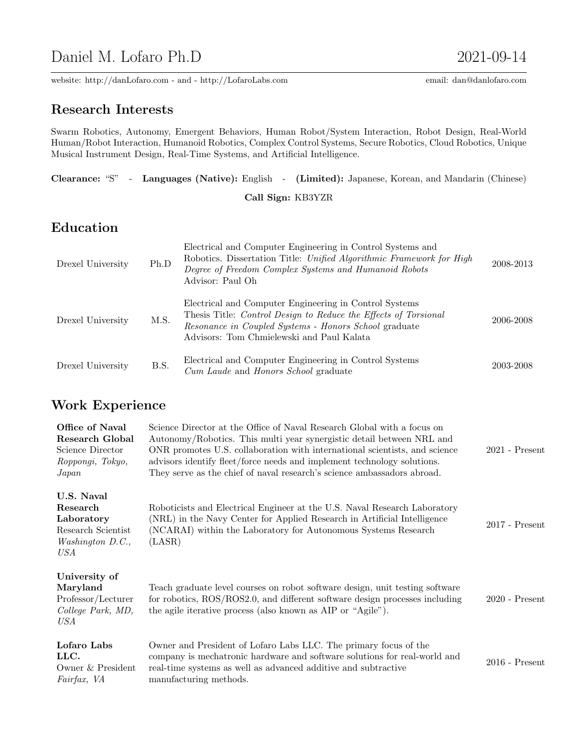# Daniel M. Lofaro Ph.D 2021-09-14

website: http://danLofaro.com - and - http://LofaroLabs.com email: dan@danlofaro.com

## Research Interests

Swarm Robotics, Autonomy, Emergent Behaviors, Human Robot/System Interaction, Robot Design, Real-World Human/Robot Interaction, Humanoid Robotics, Complex Control Systems, Secure Robotics, Cloud Robotics, Unique Musical Instrument Design, Real-Time Systems, and Artificial Intelligence.

|  |  | Clearance: "S" - Languages (Native): English - (Limited): Japanese, Korean, and Mandarin (Chinese) |  |
|--|--|----------------------------------------------------------------------------------------------------|--|
|  |  |                                                                                                    |  |

Call Sign: KB3YZR

# Education

| Drexel University | Ph.D | Electrical and Computer Engineering in Control Systems and<br>Robotics. Dissertation Title: Unified Algorithmic Framework for High<br>Degree of Freedom Complex Systems and Humanoid Robots<br>Advisor: Paul Oh                 | 2008-2013 |
|-------------------|------|---------------------------------------------------------------------------------------------------------------------------------------------------------------------------------------------------------------------------------|-----------|
| Drexel University | M.S. | Electrical and Computer Engineering in Control Systems<br>Thesis Title: Control Design to Reduce the Effects of Torsional<br>Resonance in Coupled Systems - Honors School graduate<br>Advisors: Tom Chmielewski and Paul Kalata | 2006-2008 |
| Drexel University | B.S. | Electrical and Computer Engineering in Control Systems<br>Cum Laude and Honors School graduate                                                                                                                                  | 2003-2008 |

## Work Experience

| Office of Naval<br><b>Research Global</b><br>Science Director<br>Roppongi, Tokyo,<br>Japan | Science Director at the Office of Naval Research Global with a focus on<br>Autonomy/Robotics. This multi year synergistic detail between NRL and<br>ONR promotes U.S. collaboration with international scientists, and science<br>advisors identify fleet/force needs and implement technology solutions.<br>They serve as the chief of naval research's science ambassadors abroad. | $2021$ - Present |
|--------------------------------------------------------------------------------------------|--------------------------------------------------------------------------------------------------------------------------------------------------------------------------------------------------------------------------------------------------------------------------------------------------------------------------------------------------------------------------------------|------------------|
| U.S. Naval<br>Research<br>Laboratory<br>Research Scientist<br>Washington D.C.,<br>USA      | Roboticists and Electrical Engineer at the U.S. Naval Research Laboratory<br>(NRL) in the Navy Center for Applied Research in Artificial Intelligence<br>(NCARAI) within the Laboratory for Autonomous Systems Research<br>(LASR)                                                                                                                                                    | $2017$ - Present |
| University of<br>Maryland<br>Professor/Lecturer<br>College Park, MD,<br>USA                | Teach graduate level courses on robot software design, unit testing software<br>for robotics, ROS/ROS2.0, and different software design processes including<br>the agile iterative process (also known as AIP or "Agile").                                                                                                                                                           | $2020$ - Present |
| Lofaro Labs<br>LLC.<br>Owner & President<br>Fairfax, VA                                    | Owner and President of Lofaro Labs LLC. The primary focus of the<br>company is mechatronic hardware and software solutions for real-world and<br>real-time systems as well as advanced additive and subtractive<br>manufacturing methods.                                                                                                                                            | $2016$ - Present |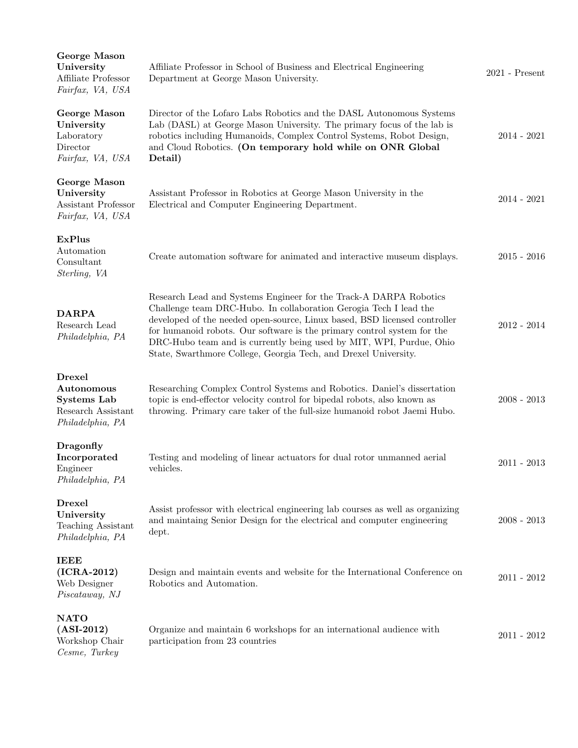| George Mason<br>University<br>Affiliate Professor<br>Fairfax, VA, USA                       | Affiliate Professor in School of Business and Electrical Engineering<br>Department at George Mason University.                                                                                                                                                                                                                                                                                                                           | $2021$ - Present |
|---------------------------------------------------------------------------------------------|------------------------------------------------------------------------------------------------------------------------------------------------------------------------------------------------------------------------------------------------------------------------------------------------------------------------------------------------------------------------------------------------------------------------------------------|------------------|
| George Mason<br>University<br>Laboratory<br>Director<br>Fairfax, VA, USA                    | Director of the Lofaro Labs Robotics and the DASL Autonomous Systems<br>Lab (DASL) at George Mason University. The primary focus of the lab is<br>robotics including Humanoids, Complex Control Systems, Robot Design,<br>and Cloud Robotics. (On temporary hold while on ONR Global<br>Detail)                                                                                                                                          | $2014 - 2021$    |
| George Mason<br>University<br>Assistant Professor<br>Fairfax, VA, USA                       | Assistant Professor in Robotics at George Mason University in the<br>Electrical and Computer Engineering Department.                                                                                                                                                                                                                                                                                                                     | $2014 - 2021$    |
| <b>ExPlus</b><br>Automation<br>Consultant<br>Sterling, VA                                   | Create automation software for animated and interactive museum displays.                                                                                                                                                                                                                                                                                                                                                                 | $2015 - 2016$    |
| <b>DARPA</b><br>Research Lead<br>Philadelphia, PA                                           | Research Lead and Systems Engineer for the Track-A DARPA Robotics<br>Challenge team DRC-Hubo. In collaboration Gerogia Tech I lead the<br>developed of the needed open-source, Linux based, BSD licensed controller<br>for humanoid robots. Our software is the primary control system for the<br>DRC-Hubo team and is currently being used by MIT, WPI, Purdue, Ohio<br>State, Swarthmore College, Georgia Tech, and Drexel University. | $2012 - 2014$    |
| <b>Drexel</b><br>Autonomous<br><b>Systems Lab</b><br>Research Assistant<br>Philadelphia, PA | Researching Complex Control Systems and Robotics. Daniel's dissertation<br>topic is end-effector velocity control for bipedal robots, also known as<br>throwing. Primary care taker of the full-size humanoid robot Jaemi Hubo.                                                                                                                                                                                                          | $2008 - 2013$    |
| Dragonfly<br>Incorporated<br>Engineer<br>Philadelphia, PA                                   | Testing and modeling of linear actuators for dual rotor unmanned aerial<br>vehicles.                                                                                                                                                                                                                                                                                                                                                     | $2011 - 2013$    |
| <b>Drexel</b><br>University<br>Teaching Assistant<br>Philadelphia, PA                       | Assist professor with electrical engineering lab courses as well as organizing<br>and maintaing Senior Design for the electrical and computer engineering<br>dept.                                                                                                                                                                                                                                                                       | $2008 - 2013$    |
| <b>IEEE</b><br>$(ICRA-2012)$<br>Web Designer<br>Piscataway, NJ                              | Design and maintain events and website for the International Conference on<br>Robotics and Automation.                                                                                                                                                                                                                                                                                                                                   | $2011 - 2012$    |
| <b>NATO</b><br>$(ASI-2012)$<br>Workshop Chair<br>Cesme, Turkey                              | Organize and maintain 6 workshops for an international audience with<br>participation from 23 countries                                                                                                                                                                                                                                                                                                                                  | $2011 - 2012$    |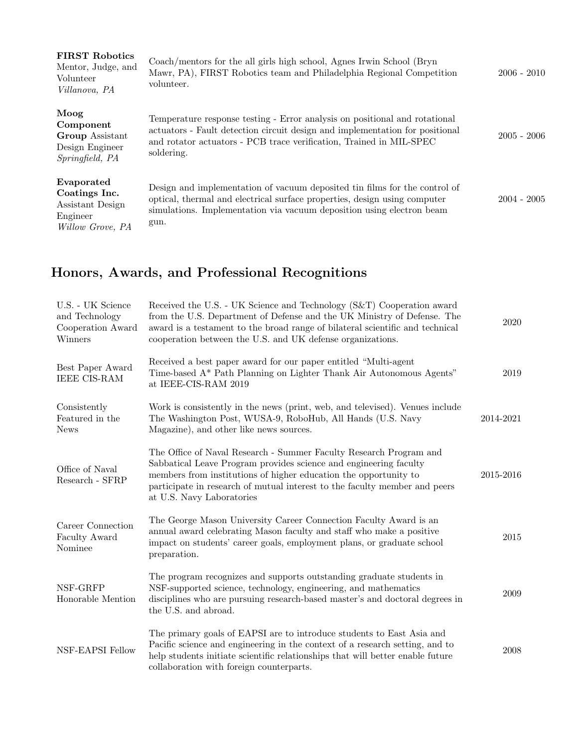| <b>FIRST Robotics</b><br>Mentor, Judge, and<br>Volunteer<br>Villanova, PA       | Coach/mentors for the all girls high school, Agnes Irwin School (Bryn<br>Mawr, PA), FIRST Robotics team and Philadelphia Regional Competition<br>volunteer.                                                                                     | $2006 - 2010$ |
|---------------------------------------------------------------------------------|-------------------------------------------------------------------------------------------------------------------------------------------------------------------------------------------------------------------------------------------------|---------------|
| Moog<br>Component<br>Group Assistant<br>Design Engineer<br>Springfield, PA      | Temperature response testing - Error analysis on positional and rotational<br>actuators - Fault detection circuit design and implementation for positional<br>and rotator actuators - PCB trace verification, Trained in MIL-SPEC<br>soldering. | $2005 - 2006$ |
| Evaporated<br>Coatings Inc.<br>Assistant Design<br>Engineer<br>Willow Grove, PA | Design and implementation of vacuum deposited tin films for the control of<br>optical, thermal and electrical surface properties, design using computer<br>simulations. Implementation via vacuum deposition using electron beam<br>gun.        | $2004 - 2005$ |

# Honors, Awards, and Professional Recognitions

| U.S. - UK Science<br>and Technology<br>Cooperation Award<br>Winners | Received the U.S. - UK Science and Technology (S&T) Cooperation award<br>from the U.S. Department of Defense and the UK Ministry of Defense. The<br>award is a testament to the broad range of bilateral scientific and technical<br>cooperation between the U.S. and UK defense organizations.                        | 2020      |
|---------------------------------------------------------------------|------------------------------------------------------------------------------------------------------------------------------------------------------------------------------------------------------------------------------------------------------------------------------------------------------------------------|-----------|
| Best Paper Award<br><b>IEEE CIS-RAM</b>                             | Received a best paper award for our paper entitled "Multi-agent<br>Time-based A* Path Planning on Lighter Thank Air Autonomous Agents"<br>at IEEE-CIS-RAM 2019                                                                                                                                                         | 2019      |
| Consistently<br>Featured in the<br><b>News</b>                      | Work is consistently in the news (print, web, and televised). Venues include<br>The Washington Post, WUSA-9, RoboHub, All Hands (U.S. Navy<br>Magazine), and other like news sources.                                                                                                                                  | 2014-2021 |
| Office of Naval<br>Research - SFRP                                  | The Office of Naval Research - Summer Faculty Research Program and<br>Sabbatical Leave Program provides science and engineering faculty<br>members from institutions of higher education the opportunity to<br>participate in research of mutual interest to the faculty member and peers<br>at U.S. Navy Laboratories | 2015-2016 |
| Career Connection<br>Faculty Award<br>Nominee                       | The George Mason University Career Connection Faculty Award is an<br>annual award celebrating Mason faculty and staff who make a positive<br>impact on students' career goals, employment plans, or graduate school<br>preparation.                                                                                    | 2015      |
| NSF-GRFP<br>Honorable Mention                                       | The program recognizes and supports outstanding graduate students in<br>NSF-supported science, technology, engineering, and mathematics<br>disciplines who are pursuing research-based master's and doctoral degrees in<br>the U.S. and abroad.                                                                        | 2009      |
| NSF-EAPSI Fellow                                                    | The primary goals of EAPSI are to introduce students to East Asia and<br>Pacific science and engineering in the context of a research setting, and to<br>help students initiate scientific relationships that will better enable future<br>collaboration with foreign counterparts.                                    | 2008      |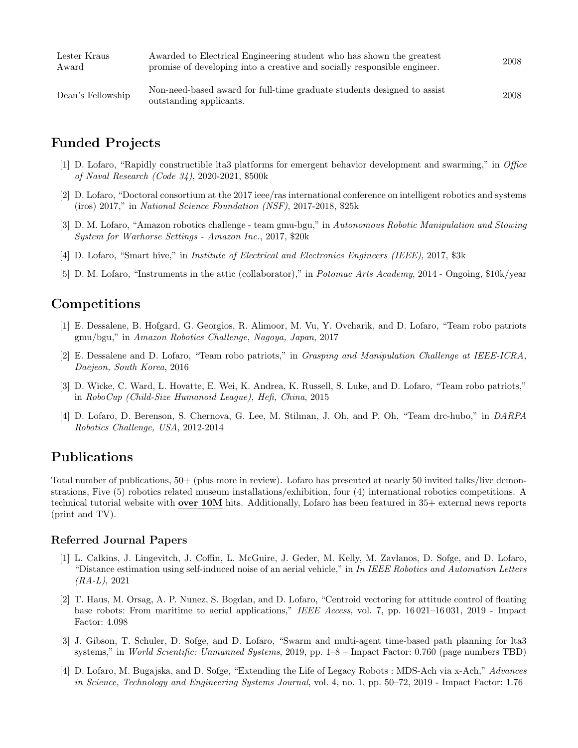| Lester Kraus<br>Award | Awarded to Electrical Engineering student who has shown the greatest<br>promise of developing into a creative and socially responsible engineer. | 2008 |
|-----------------------|--------------------------------------------------------------------------------------------------------------------------------------------------|------|
| Dean's Fellowship     | Non-need-based award for full-time graduate students designed to assist<br>outstanding applicants.                                               | 2008 |

## Funded Projects

- [1] D. Lofaro, "Rapidly constructible lta3 platforms for emergent behavior development and swarming," in Office of Naval Research (Code 34), 2020-2021, \$500k
- [2] D. Lofaro, "Doctoral consortium at the 2017 ieee/ras international conference on intelligent robotics and systems (iros) 2017," in National Science Foundation (NSF), 2017-2018, \$25k
- [3] D. M. Lofaro, "Amazon robotics challenge team gmu-bgu," in Autonomous Robotic Manipulation and Stowing System for Warhorse Settings - Amazon Inc., 2017, \$20k
- [4] D. Lofaro, "Smart hive," in Institute of Electrical and Electronics Engineers (IEEE), 2017, \$3k
- [5] D. M. Lofaro, "Instruments in the attic (collaborator)," in Potomac Arts Academy, 2014 Ongoing, \$10k/year

## Competitions

- [1] E. Dessalene, B. Hofgard, G. Georgios, R. Alimoor, M. Vu, Y. Ovcharik, and D. Lofaro, "Team robo patriots gmu/bgu," in Amazon Robotics Challenge, Nagoya, Japan, 2017
- [2] E. Dessalene and D. Lofaro, "Team robo patriots," in Grasping and Manipulation Challenge at IEEE-ICRA, Daejeon, South Korea, 2016
- [3] D. Wicke, C. Ward, L. Hovatte, E. Wei, K. Andrea, K. Russell, S. Luke, and D. Lofaro, "Team robo patriots," in RoboCup (Child-Size Humanoid League), Hefi, China, 2015
- [4] D. Lofaro, D. Berenson, S. Chernova, G. Lee, M. Stilman, J. Oh, and P. Oh, "Team drc-hubo," in DARPA Robotics Challenge, USA, 2012-2014

### Publications

Total number of publications, 50+ (plus more in review). Lofaro has presented at nearly 50 invited talks/live demonstrations, Five (5) robotics related museum installations/exhibition, four (4) international robotics competitions. A technical tutorial website with **over 10M** hits. Additionally, Lofaro has been featured in 35+ external news reports (print and TV).

#### Referred Journal Papers

- [1] L. Calkins, J. Lingevitch, J. Coffin, L. McGuire, J. Geder, M. Kelly, M. Zavlanos, D. Sofge, and D. Lofaro, "Distance estimation using self-induced noise of an aerial vehicle," in In IEEE Robotics and Automation Letters  $(RA-L), 2021$
- [2] T. Haus, M. Orsag, A. P. Nunez, S. Bogdan, and D. Lofaro, "Centroid vectoring for attitude control of floating base robots: From maritime to aerial applications," IEEE Access, vol. 7, pp. 16 021–16 031, 2019 - Impact Factor: 4.098
- [3] J. Gibson, T. Schuler, D. Sofge, and D. Lofaro, "Swarm and multi-agent time-based path planning for lta3 systems," in World Scientific: Unmanned Systems, 2019, pp.  $1-8$  – Impact Factor: 0.760 (page numbers TBD)
- [4] D. Lofaro, M. Bugajska, and D. Sofge, "Extending the Life of Legacy Robots : MDS-Ach via x-Ach," Advances in Science, Technology and Engineering Systems Journal, vol. 4, no. 1, pp. 50–72, 2019 - Impact Factor: 1.76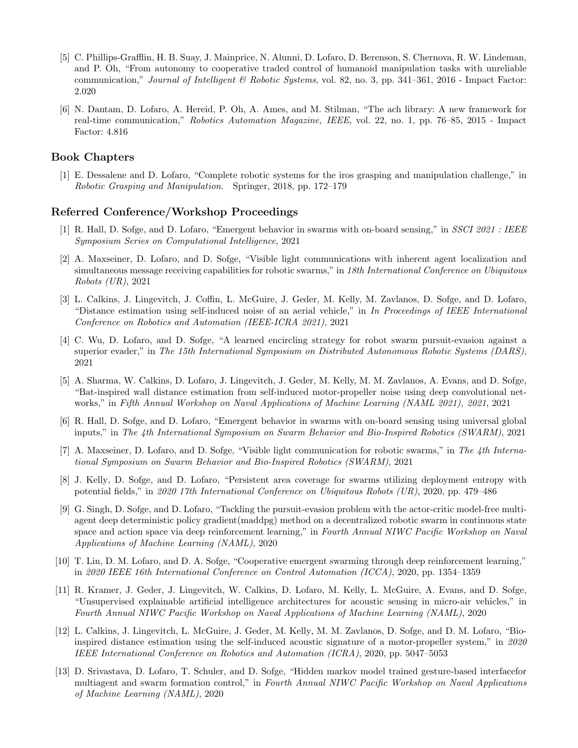- [5] C. Phillips-Grafflin, H. B. Suay, J. Mainprice, N. Alunni, D. Lofaro, D. Berenson, S. Chernova, R. W. Lindeman, and P. Oh, "From autonomy to cooperative traded control of humanoid manipulation tasks with unreliable communication," Journal of Intelligent  $\mathcal B$  Robotic Systems, vol. 82, no. 3, pp. 341–361, 2016 - Impact Factor: 2.020
- [6] N. Dantam, D. Lofaro, A. Hereid, P. Oh, A. Ames, and M. Stilman, "The ach library: A new framework for real-time communication," Robotics Automation Magazine, IEEE, vol. 22, no. 1, pp. 76–85, 2015 - Impact Factor: 4.816

#### Book Chapters

[1] E. Dessalene and D. Lofaro, "Complete robotic systems for the iros grasping and manipulation challenge," in Robotic Grasping and Manipulation. Springer, 2018, pp. 172–179

#### Referred Conference/Workshop Proceedings

- [1] R. Hall, D. Sofge, and D. Lofaro, "Emergent behavior in swarms with on-board sensing," in SSCI 2021 : IEEE Symposium Series on Computational Intelligence, 2021
- [2] A. Maxseiner, D. Lofaro, and D. Sofge, "Visible light communications with inherent agent localization and simultaneous message receiving capabilities for robotic swarms," in 18th International Conference on Ubiquitous Robots (UR), 2021
- [3] L. Calkins, J. Lingevitch, J. Coffin, L. McGuire, J. Geder, M. Kelly, M. Zavlanos, D. Sofge, and D. Lofaro, "Distance estimation using self-induced noise of an aerial vehicle," in In Proceedings of IEEE International Conference on Robotics and Automation (IEEE-ICRA 2021), 2021
- [4] C. Wu, D. Lofaro, and D. Sofge, "A learned encircling strategy for robot swarm pursuit-evasion against a superior evader," in The 15th International Symposium on Distributed Autonomous Robotic Systems (DARS), 2021
- [5] A. Sharma, W. Calkins, D. Lofaro, J. Lingevitch, J. Geder, M. Kelly, M. M. Zavlanos, A. Evans, and D. Sofge, "Bat-inspired wall distance estimation from self-induced motor-propeller noise using deep convolutional networks," in Fifth Annual Workshop on Naval Applications of Machine Learning (NAML 2021), 2021, 2021
- [6] R. Hall, D. Sofge, and D. Lofaro, "Emergent behavior in swarms with on-board sensing using universal global inputs," in The 4th International Symposium on Swarm Behavior and Bio-Inspired Robotics (SWARM), 2021
- [7] A. Maxseiner, D. Lofaro, and D. Sofge, "Visible light communication for robotic swarms," in The 4th International Symposium on Swarm Behavior and Bio-Inspired Robotics (SWARM), 2021
- [8] J. Kelly, D. Sofge, and D. Lofaro, "Persistent area coverage for swarms utilizing deployment entropy with potential fields," in 2020 17th International Conference on Ubiquitous Robots (UR), 2020, pp. 479–486
- [9] G. Singh, D. Sofge, and D. Lofaro, "Tackling the pursuit-evasion problem with the actor-critic model-free multiagent deep deterministic policy gradient(maddpg) method on a decentralized robotic swarm in continuous state space and action space via deep reinforcement learning," in Fourth Annual NIWC Pacific Workshop on Naval Applications of Machine Learning (NAML), 2020
- [10] T. Lin, D. M. Lofaro, and D. A. Sofge, "Cooperative emergent swarming through deep reinforcement learning," in 2020 IEEE 16th International Conference on Control Automation (ICCA), 2020, pp. 1354–1359
- [11] R. Kramer, J. Geder, J. Lingevitch, W. Calkins, D. Lofaro, M. Kelly, L. McGuire, A. Evans, and D. Sofge, "Unsupervised explainable artificial intelligence architectures for acoustic sensing in micro-air vehicles," in Fourth Annual NIWC Pacific Workshop on Naval Applications of Machine Learning (NAML), 2020
- [12] L. Calkins, J. Lingevitch, L. McGuire, J. Geder, M. Kelly, M. M. Zavlanos, D. Sofge, and D. M. Lofaro, "Bioinspired distance estimation using the self-induced acoustic signature of a motor-propeller system," in 2020 IEEE International Conference on Robotics and Automation (ICRA), 2020, pp. 5047–5053
- [13] D. Srivastava, D. Lofaro, T. Schuler, and D. Sofge, "Hidden markov model trained gesture-based interfacefor multiagent and swarm formation control," in Fourth Annual NIWC Pacific Workshop on Naval Applications of Machine Learning (NAML), 2020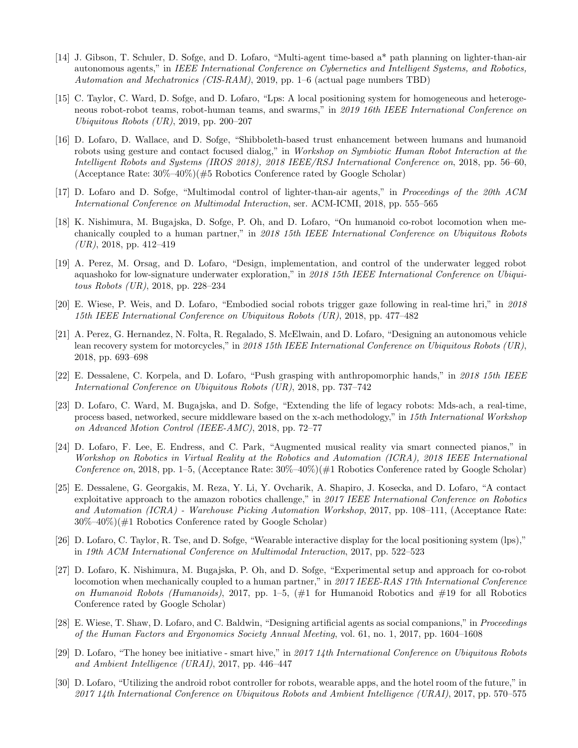- [14] J. Gibson, T. Schuler, D. Sofge, and D. Lofaro, "Multi-agent time-based a\* path planning on lighter-than-air autonomous agents," in IEEE International Conference on Cybernetics and Intelligent Systems, and Robotics, Automation and Mechatronics (CIS-RAM), 2019, pp. 1–6 (actual page numbers TBD)
- [15] C. Taylor, C. Ward, D. Sofge, and D. Lofaro, "Lps: A local positioning system for homogeneous and heterogeneous robot-robot teams, robot-human teams, and swarms," in 2019 16th IEEE International Conference on Ubiquitous Robots (UR), 2019, pp. 200–207
- [16] D. Lofaro, D. Wallace, and D. Sofge, "Shibboleth-based trust enhancement between humans and humanoid robots using gesture and contact focused dialog," in Workshop on Symbiotic Human Robot Interaction at the Intelligent Robots and Systems (IROS 2018), 2018 IEEE/RSJ International Conference on, 2018, pp. 56–60, (Acceptance Rate:  $30\%$ – $40\%$ )( $\#5$  Robotics Conference rated by Google Scholar)
- [17] D. Lofaro and D. Sofge, "Multimodal control of lighter-than-air agents," in Proceedings of the 20th ACM International Conference on Multimodal Interaction, ser. ACM-ICMI, 2018, pp. 555–565
- [18] K. Nishimura, M. Bugajska, D. Sofge, P. Oh, and D. Lofaro, "On humanoid co-robot locomotion when mechanically coupled to a human partner," in 2018 15th IEEE International Conference on Ubiquitous Robots  $(UR), 2018, pp. 412-419$
- [19] A. Perez, M. Orsag, and D. Lofaro, "Design, implementation, and control of the underwater legged robot aquashoko for low-signature underwater exploration," in 2018 15th IEEE International Conference on Ubiquitous Robots (UR), 2018, pp. 228–234
- [20] E. Wiese, P. Weis, and D. Lofaro, "Embodied social robots trigger gaze following in real-time hri," in 2018 15th IEEE International Conference on Ubiquitous Robots (UR), 2018, pp. 477–482
- [21] A. Perez, G. Hernandez, N. Folta, R. Regalado, S. McElwain, and D. Lofaro, "Designing an autonomous vehicle lean recovery system for motorcycles," in 2018 15th IEEE International Conference on Ubiquitous Robots (UR), 2018, pp. 693–698
- [22] E. Dessalene, C. Korpela, and D. Lofaro, "Push grasping with anthropomorphic hands," in 2018 15th IEEE International Conference on Ubiquitous Robots (UR), 2018, pp. 737–742
- [23] D. Lofaro, C. Ward, M. Bugajska, and D. Sofge, "Extending the life of legacy robots: Mds-ach, a real-time, process based, networked, secure middleware based on the x-ach methodology," in 15th International Workshop on Advanced Motion Control (IEEE-AMC), 2018, pp. 72–77
- [24] D. Lofaro, F. Lee, E. Endress, and C. Park, "Augmented musical reality via smart connected pianos," in Workshop on Robotics in Virtual Reality at the Robotics and Automation (ICRA), 2018 IEEE International Conference on, 2018, pp. 1–5, (Acceptance Rate:  $30\%$ – $40\%$ )( $\#1$  Robotics Conference rated by Google Scholar)
- [25] E. Dessalene, G. Georgakis, M. Reza, Y. Li, Y. Ovcharik, A. Shapiro, J. Kosecka, and D. Lofaro, "A contact exploitative approach to the amazon robotics challenge," in 2017 IEEE International Conference on Robotics and Automation (ICRA) - Warehouse Picking Automation Workshop, 2017, pp. 108–111, (Acceptance Rate: 30%–40%)(#1 Robotics Conference rated by Google Scholar)
- [26] D. Lofaro, C. Taylor, R. Tse, and D. Sofge, "Wearable interactive display for the local positioning system (lps)," in 19th ACM International Conference on Multimodal Interaction, 2017, pp. 522–523
- [27] D. Lofaro, K. Nishimura, M. Bugajska, P. Oh, and D. Sofge, "Experimental setup and approach for co-robot locomotion when mechanically coupled to a human partner," in 2017 IEEE-RAS 17th International Conference on Humanoid Robots (Humanoids), 2017, pp. 1–5,  $(\#1)$  for Humanoid Robotics and  $\#19$  for all Robotics Conference rated by Google Scholar)
- [28] E. Wiese, T. Shaw, D. Lofaro, and C. Baldwin, "Designing artificial agents as social companions," in Proceedings of the Human Factors and Ergonomics Society Annual Meeting, vol. 61, no. 1, 2017, pp. 1604–1608
- [29] D. Lofaro, "The honey bee initiative smart hive," in 2017 14th International Conference on Ubiquitous Robots and Ambient Intelligence (URAI), 2017, pp. 446–447
- [30] D. Lofaro, "Utilizing the android robot controller for robots, wearable apps, and the hotel room of the future," in 2017 14th International Conference on Ubiquitous Robots and Ambient Intelligence (URAI), 2017, pp. 570–575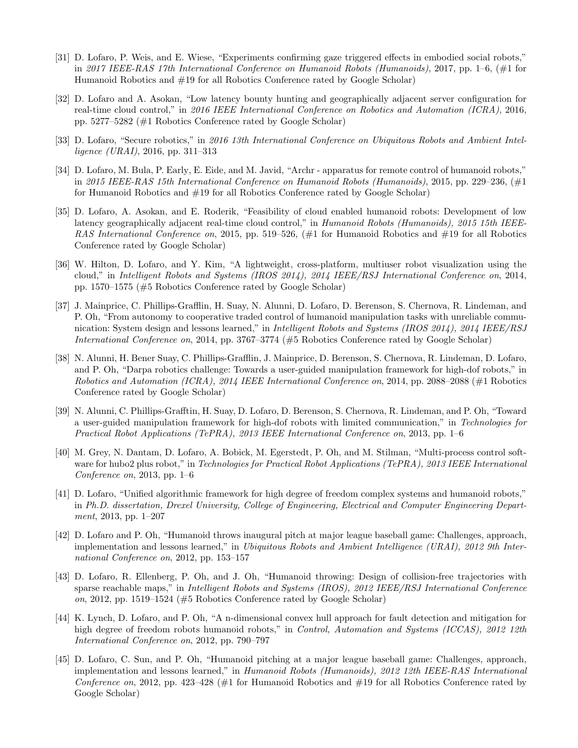- [31] D. Lofaro, P. Weis, and E. Wiese, "Experiments confirming gaze triggered effects in embodied social robots," in 2017 IEEE-RAS 17th International Conference on Humanoid Robots (Humanoids), 2017, pp. 1–6, (#1 for Humanoid Robotics and #19 for all Robotics Conference rated by Google Scholar)
- [32] D. Lofaro and A. Asokan, "Low latency bounty hunting and geographically adjacent server configuration for real-time cloud control," in 2016 IEEE International Conference on Robotics and Automation (ICRA), 2016, pp. 5277–5282 (#1 Robotics Conference rated by Google Scholar)
- [33] D. Lofaro, "Secure robotics," in 2016 13th International Conference on Ubiquitous Robots and Ambient Intelligence (URAI), 2016, pp. 311–313
- [34] D. Lofaro, M. Bula, P. Early, E. Eide, and M. Javid, "Archr apparatus for remote control of humanoid robots," in 2015 IEEE-RAS 15th International Conference on Humanoid Robots (Humanoids), 2015, pp. 229–236, (#1 for Humanoid Robotics and #19 for all Robotics Conference rated by Google Scholar)
- [35] D. Lofaro, A. Asokan, and E. Roderik, "Feasibility of cloud enabled humanoid robots: Development of low latency geographically adjacent real-time cloud control," in Humanoid Robots (Humanoids), 2015 15th IEEE-RAS International Conference on, 2015, pp. 519–526,  $(\#1 \text{ for Humanoid Robotics and } \#19 \text{ for all Robotics})$ Conference rated by Google Scholar)
- [36] W. Hilton, D. Lofaro, and Y. Kim, "A lightweight, cross-platform, multiuser robot visualization using the cloud," in Intelligent Robots and Systems (IROS 2014), 2014 IEEE/RSJ International Conference on, 2014, pp. 1570–1575 (#5 Robotics Conference rated by Google Scholar)
- [37] J. Mainprice, C. Phillips-Grafflin, H. Suay, N. Alunni, D. Lofaro, D. Berenson, S. Chernova, R. Lindeman, and P. Oh, "From autonomy to cooperative traded control of humanoid manipulation tasks with unreliable communication: System design and lessons learned," in *Intelligent Robots and Systems (IROS 2014), 2014 IEEE/RSJ* International Conference on, 2014, pp. 3767–3774 (#5 Robotics Conference rated by Google Scholar)
- [38] N. Alunni, H. Bener Suay, C. Phillips-Grafflin, J. Mainprice, D. Berenson, S. Chernova, R. Lindeman, D. Lofaro, and P. Oh, "Darpa robotics challenge: Towards a user-guided manipulation framework for high-dof robots," in Robotics and Automation (ICRA), 2014 IEEE International Conference on, 2014, pp. 2088–2088 (#1 Robotics Conference rated by Google Scholar)
- [39] N. Alunni, C. Phillips-Grafftin, H. Suay, D. Lofaro, D. Berenson, S. Chernova, R. Lindeman, and P. Oh, "Toward a user-guided manipulation framework for high-dof robots with limited communication," in Technologies for Practical Robot Applications (TePRA), 2013 IEEE International Conference on, 2013, pp. 1–6
- [40] M. Grey, N. Dantam, D. Lofaro, A. Bobick, M. Egerstedt, P. Oh, and M. Stilman, "Multi-process control software for hubo2 plus robot," in Technologies for Practical Robot Applications (TePRA), 2013 IEEE International Conference on, 2013, pp.  $1-6$
- [41] D. Lofaro, "Unified algorithmic framework for high degree of freedom complex systems and humanoid robots," in Ph.D. dissertation, Drexel University, College of Engineering, Electrical and Computer Engineering Department, 2013, pp. 1–207
- [42] D. Lofaro and P. Oh, "Humanoid throws inaugural pitch at major league baseball game: Challenges, approach, implementation and lessons learned," in Ubiquitous Robots and Ambient Intelligence (URAI), 2012 9th International Conference on, 2012, pp. 153–157
- [43] D. Lofaro, R. Ellenberg, P. Oh, and J. Oh, "Humanoid throwing: Design of collision-free trajectories with sparse reachable maps," in Intelligent Robots and Systems (IROS), 2012 IEEE/RSJ International Conference on, 2012, pp. 1519–1524 (#5 Robotics Conference rated by Google Scholar)
- [44] K. Lynch, D. Lofaro, and P. Oh, "A n-dimensional convex hull approach for fault detection and mitigation for high degree of freedom robots humanoid robots," in *Control, Automation and Systems (ICCAS)*, 2012 12th International Conference on, 2012, pp. 790–797
- [45] D. Lofaro, C. Sun, and P. Oh, "Humanoid pitching at a major league baseball game: Challenges, approach, implementation and lessons learned," in Humanoid Robots (Humanoids), 2012 12th IEEE-RAS International Conference on, 2012, pp. 423–428 (#1 for Humanoid Robotics and #19 for all Robotics Conference rated by Google Scholar)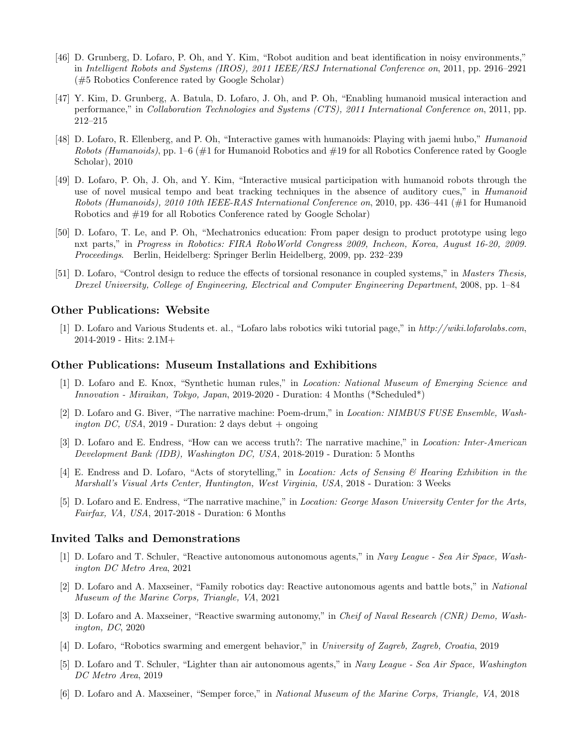- [46] D. Grunberg, D. Lofaro, P. Oh, and Y. Kim, "Robot audition and beat identification in noisy environments," in Intelligent Robots and Systems (IROS), 2011 IEEE/RSJ International Conference on, 2011, pp. 2916–2921 (#5 Robotics Conference rated by Google Scholar)
- [47] Y. Kim, D. Grunberg, A. Batula, D. Lofaro, J. Oh, and P. Oh, "Enabling humanoid musical interaction and performance," in Collaboration Technologies and Systems (CTS), 2011 International Conference on, 2011, pp. 212–215
- [48] D. Lofaro, R. Ellenberg, and P. Oh, "Interactive games with humanoids: Playing with jaemi hubo," Humanoid Robots (Humanoids), pp. 1–6 ( $\#1$  for Humanoid Robotics and  $\#19$  for all Robotics Conference rated by Google Scholar), 2010
- [49] D. Lofaro, P. Oh, J. Oh, and Y. Kim, "Interactive musical participation with humanoid robots through the use of novel musical tempo and beat tracking techniques in the absence of auditory cues," in *Humanoid* Robots (Humanoids), 2010 10th IEEE-RAS International Conference on, 2010, pp. 436–441 (#1 for Humanoid Robotics and #19 for all Robotics Conference rated by Google Scholar)
- [50] D. Lofaro, T. Le, and P. Oh, "Mechatronics education: From paper design to product prototype using lego nxt parts," in Progress in Robotics: FIRA RoboWorld Congress 2009, Incheon, Korea, August 16-20, 2009. Proceedings. Berlin, Heidelberg: Springer Berlin Heidelberg, 2009, pp. 232–239
- [51] D. Lofaro, "Control design to reduce the effects of torsional resonance in coupled systems," in Masters Thesis, Drexel University, College of Engineering, Electrical and Computer Engineering Department, 2008, pp. 1–84

#### Other Publications: Website

[1] D. Lofaro and Various Students et. al., "Lofaro labs robotics wiki tutorial page," in http://wiki.lofarolabs.com, 2014-2019 - Hits: 2.1M+

#### Other Publications: Museum Installations and Exhibitions

- [1] D. Lofaro and E. Knox, "Synthetic human rules," in Location: National Museum of Emerging Science and Innovation - Miraikan, Tokyo, Japan, 2019-2020 - Duration: 4 Months (\*Scheduled\*)
- [2] D. Lofaro and G. Biver, "The narrative machine: Poem-drum," in Location: NIMBUS FUSE Ensemble, Washington DC, USA, 2019 - Duration: 2 days debut  $+$  ongoing
- [3] D. Lofaro and E. Endress, "How can we access truth?: The narrative machine," in Location: Inter-American Development Bank (IDB), Washington DC, USA, 2018-2019 - Duration: 5 Months
- [4] E. Endress and D. Lofaro, "Acts of storytelling," in Location: Acts of Sensing & Hearing Exhibition in the Marshall's Visual Arts Center, Huntington, West Virginia, USA, 2018 - Duration: 3 Weeks
- [5] D. Lofaro and E. Endress, "The narrative machine," in Location: George Mason University Center for the Arts, Fairfax, VA, USA, 2017-2018 - Duration: 6 Months

#### Invited Talks and Demonstrations

- [1] D. Lofaro and T. Schuler, "Reactive autonomous autonomous agents," in Navy League Sea Air Space, Washington DC Metro Area, 2021
- [2] D. Lofaro and A. Maxseiner, "Family robotics day: Reactive autonomous agents and battle bots," in National Museum of the Marine Corps, Triangle, VA, 2021
- [3] D. Lofaro and A. Maxseiner, "Reactive swarming autonomy," in Cheif of Naval Research (CNR) Demo, Washington, DC, 2020
- [4] D. Lofaro, "Robotics swarming and emergent behavior," in University of Zagreb, Zagreb, Croatia, 2019
- [5] D. Lofaro and T. Schuler, "Lighter than air autonomous agents," in Navy League Sea Air Space, Washington DC Metro Area, 2019
- [6] D. Lofaro and A. Maxseiner, "Semper force," in National Museum of the Marine Corps, Triangle, VA, 2018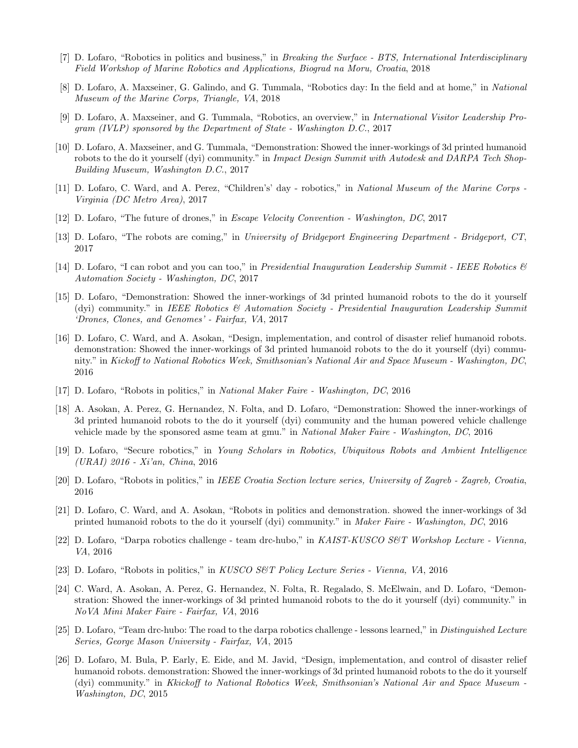- [7] D. Lofaro, "Robotics in politics and business," in Breaking the Surface BTS, International Interdisciplinary Field Workshop of Marine Robotics and Applications, Biograd na Moru, Croatia, 2018
- [8] D. Lofaro, A. Maxseiner, G. Galindo, and G. Tummala, "Robotics day: In the field and at home," in National Museum of the Marine Corps, Triangle, VA, 2018
- [9] D. Lofaro, A. Maxseiner, and G. Tummala, "Robotics, an overview," in International Visitor Leadership Program (IVLP) sponsored by the Department of State - Washington D.C., 2017
- [10] D. Lofaro, A. Maxseiner, and G. Tummala, "Demonstration: Showed the inner-workings of 3d printed humanoid robots to the do it yourself (dyi) community." in Impact Design Summit with Autodesk and DARPA Tech Shop-Building Museum, Washington D.C., 2017
- [11] D. Lofaro, C. Ward, and A. Perez, "Children's' day robotics," in National Museum of the Marine Corps Virginia (DC Metro Area), 2017
- [12] D. Lofaro, "The future of drones," in Escape Velocity Convention Washington, DC, 2017
- [13] D. Lofaro, "The robots are coming," in University of Bridgeport Engineering Department Bridgeport, CT, 2017
- [14] D. Lofaro, "I can robot and you can too," in Presidential Inauguration Leadership Summit IEEE Robotics  $\mathcal{C}$ Automation Society - Washington, DC, 2017
- [15] D. Lofaro, "Demonstration: Showed the inner-workings of 3d printed humanoid robots to the do it yourself (dyi) community." in IEEE Robotics  $\mathcal{B}$  Automation Society - Presidential Inauguration Leadership Summit 'Drones, Clones, and Genomes' - Fairfax, VA, 2017
- [16] D. Lofaro, C. Ward, and A. Asokan, "Design, implementation, and control of disaster relief humanoid robots. demonstration: Showed the inner-workings of 3d printed humanoid robots to the do it yourself (dyi) community." in Kickoff to National Robotics Week, Smithsonian's National Air and Space Museum - Washington, DC, 2016
- [17] D. Lofaro, "Robots in politics," in National Maker Faire Washington, DC, 2016
- [18] A. Asokan, A. Perez, G. Hernandez, N. Folta, and D. Lofaro, "Demonstration: Showed the inner-workings of 3d printed humanoid robots to the do it yourself (dyi) community and the human powered vehicle challenge vehicle made by the sponsored asme team at gmu." in National Maker Faire - Washington, DC, 2016
- [19] D. Lofaro, "Secure robotics," in Young Scholars in Robotics, Ubiquitous Robots and Ambient Intelligence (URAI) 2016 - Xi'an, China, 2016
- [20] D. Lofaro, "Robots in politics," in IEEE Croatia Section lecture series, University of Zagreb Zagreb, Croatia, 2016
- [21] D. Lofaro, C. Ward, and A. Asokan, "Robots in politics and demonstration. showed the inner-workings of 3d printed humanoid robots to the do it yourself (dyi) community." in Maker Faire - Washington, DC, 2016
- [22] D. Lofaro, "Darpa robotics challenge team drc-hubo," in KAIST-KUSCO S&T Workshop Lecture Vienna, VA, 2016
- [23] D. Lofaro, "Robots in politics," in KUSCO S&T Policy Lecture Series Vienna, VA, 2016
- [24] C. Ward, A. Asokan, A. Perez, G. Hernandez, N. Folta, R. Regalado, S. McElwain, and D. Lofaro, "Demonstration: Showed the inner-workings of 3d printed humanoid robots to the do it yourself (dyi) community." in NoVA Mini Maker Faire - Fairfax, VA, 2016
- [25] D. Lofaro, "Team drc-hubo: The road to the darpa robotics challenge lessons learned," in Distinguished Lecture Series, George Mason University - Fairfax, VA, 2015
- [26] D. Lofaro, M. Bula, P. Early, E. Eide, and M. Javid, "Design, implementation, and control of disaster relief humanoid robots. demonstration: Showed the inner-workings of 3d printed humanoid robots to the do it yourself (dyi) community." in Kkickoff to National Robotics Week, Smithsonian's National Air and Space Museum - Washington, DC, 2015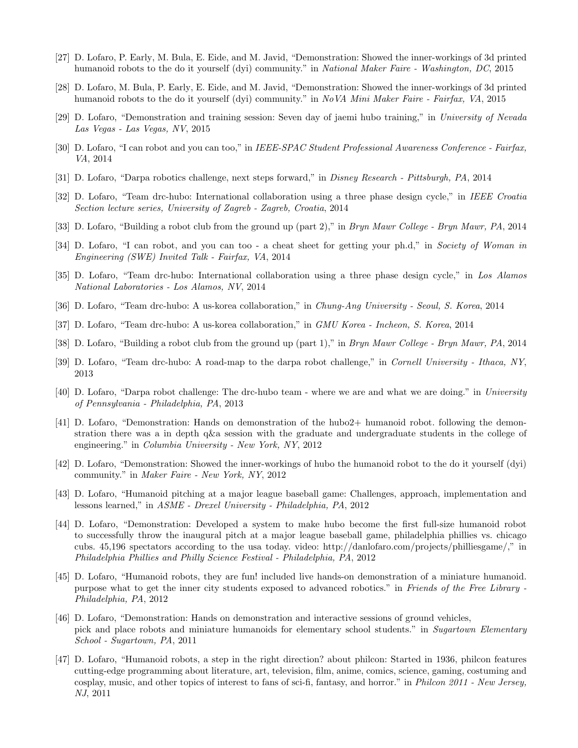- [27] D. Lofaro, P. Early, M. Bula, E. Eide, and M. Javid, "Demonstration: Showed the inner-workings of 3d printed humanoid robots to the do it yourself (dyi) community." in National Maker Faire - Washington, DC, 2015
- [28] D. Lofaro, M. Bula, P. Early, E. Eide, and M. Javid, "Demonstration: Showed the inner-workings of 3d printed humanoid robots to the do it yourself (dyi) community." in NoVA Mini Maker Faire - Fairfax, VA, 2015
- [29] D. Lofaro, "Demonstration and training session: Seven day of jaemi hubo training," in University of Nevada Las Vegas - Las Vegas, NV, 2015
- [30] D. Lofaro, "I can robot and you can too," in IEEE-SPAC Student Professional Awareness Conference Fairfax, VA, 2014
- [31] D. Lofaro, "Darpa robotics challenge, next steps forward," in Disney Research Pittsburgh, PA, 2014
- [32] D. Lofaro, "Team drc-hubo: International collaboration using a three phase design cycle," in IEEE Croatia Section lecture series, University of Zagreb - Zagreb, Croatia, 2014
- [33] D. Lofaro, "Building a robot club from the ground up (part 2)," in Bryn Mawr College Bryn Mawr, PA, 2014
- [34] D. Lofaro, "I can robot, and you can too a cheat sheet for getting your ph.d," in Society of Woman in Engineering (SWE) Invited Talk - Fairfax, VA, 2014
- [35] D. Lofaro, "Team drc-hubo: International collaboration using a three phase design cycle," in Los Alamos National Laboratories - Los Alamos, NV, 2014
- [36] D. Lofaro, "Team drc-hubo: A us-korea collaboration," in Chung-Ang University Seoul, S. Korea, 2014
- [37] D. Lofaro, "Team drc-hubo: A us-korea collaboration," in GMU Korea Incheon, S. Korea, 2014
- [38] D. Lofaro, "Building a robot club from the ground up (part 1)," in Bryn Mawr College Bryn Mawr, PA, 2014
- [39] D. Lofaro, "Team drc-hubo: A road-map to the darpa robot challenge," in Cornell University Ithaca, NY, 2013
- [40] D. Lofaro, "Darpa robot challenge: The drc-hubo team where we are and what we are doing." in University of Pennsylvania - Philadelphia, PA, 2013
- [41] D. Lofaro, "Demonstration: Hands on demonstration of the hubo2+ humanoid robot. following the demonstration there was a in depth q&a session with the graduate and undergraduate students in the college of engineering." in Columbia University - New York, NY, 2012
- [42] D. Lofaro, "Demonstration: Showed the inner-workings of hubo the humanoid robot to the do it yourself (dyi) community." in Maker Faire - New York, NY, 2012
- [43] D. Lofaro, "Humanoid pitching at a major league baseball game: Challenges, approach, implementation and lessons learned," in ASME - Drexel University - Philadelphia, PA, 2012
- [44] D. Lofaro, "Demonstration: Developed a system to make hubo become the first full-size humanoid robot to successfully throw the inaugural pitch at a major league baseball game, philadelphia phillies vs. chicago cubs. 45,196 spectators according to the usa today. video: http://danlofaro.com/projects/philliesgame/," in Philadelphia Phillies and Philly Science Festival - Philadelphia, PA, 2012
- [45] D. Lofaro, "Humanoid robots, they are fun! included live hands-on demonstration of a miniature humanoid. purpose what to get the inner city students exposed to advanced robotics." in Friends of the Free Library - Philadelphia, PA, 2012
- [46] D. Lofaro, "Demonstration: Hands on demonstration and interactive sessions of ground vehicles, pick and place robots and miniature humanoids for elementary school students." in Sugartown Elementary School - Sugartown, PA, 2011
- [47] D. Lofaro, "Humanoid robots, a step in the right direction? about philcon: Started in 1936, philcon features cutting-edge programming about literature, art, television, film, anime, comics, science, gaming, costuming and cosplay, music, and other topics of interest to fans of sci-fi, fantasy, and horror." in Philcon 2011 - New Jersey, NJ, 2011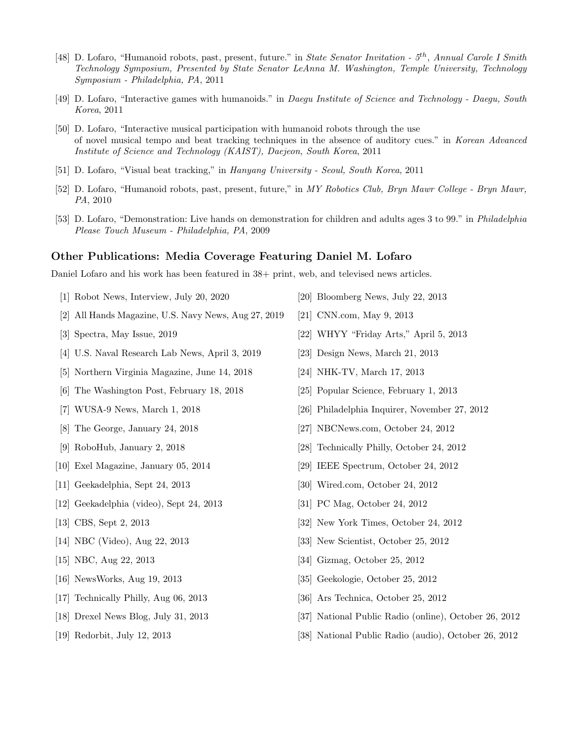- [48] D. Lofaro, "Humanoid robots, past, present, future." in State Senator Invitation 5<sup>th</sup>, Annual Carole I Smith Technology Symposium, Presented by State Senator LeAnna M. Washington, Temple University, Technology Symposium - Philadelphia, PA, 2011
- [49] D. Lofaro, "Interactive games with humanoids." in Daegu Institute of Science and Technology Daegu, South Korea, 2011
- [50] D. Lofaro, "Interactive musical participation with humanoid robots through the use of novel musical tempo and beat tracking techniques in the absence of auditory cues." in Korean Advanced Institute of Science and Technology (KAIST), Daejeon, South Korea, 2011
- [51] D. Lofaro, "Visual beat tracking," in Hanyang University Seoul, South Korea, 2011
- [52] D. Lofaro, "Humanoid robots, past, present, future," in MY Robotics Club, Bryn Mawr College Bryn Mawr, PA, 2010
- [53] D. Lofaro, "Demonstration: Live hands on demonstration for children and adults ages 3 to 99." in Philadelphia Please Touch Museum - Philadelphia, PA, 2009

#### Other Publications: Media Coverage Featuring Daniel M. Lofaro

Daniel Lofaro and his work has been featured in 38+ print, web, and televised news articles.

- [1] Robot News, Interview, July 20, 2020
- [2] All Hands Magazine, U.S. Navy News, Aug 27, 2019
- [3] Spectra, May Issue, 2019
- [4] U.S. Naval Research Lab News, April 3, 2019
- [5] Northern Virginia Magazine, June 14, 2018
- [6] The Washington Post, February 18, 2018
- [7] WUSA-9 News, March 1, 2018
- [8] The George, January 24, 2018
- [9] RoboHub, January 2, 2018
- [10] Exel Magazine, January 05, 2014
- [11] Geekadelphia, Sept 24, 2013
- [12] Geekadelphia (video), Sept 24, 2013
- [13] CBS, Sept 2, 2013
- [14] NBC (Video), Aug 22, 2013
- [15] NBC, Aug 22, 2013
- [16] NewsWorks, Aug 19, 2013
- [17] Technically Philly, Aug 06, 2013
- [18] Drexel News Blog, July 31, 2013
- [19] Redorbit, July 12, 2013
- [20] Bloomberg News, July 22, 2013
- [21] CNN.com, May 9, 2013
- [22] WHYY "Friday Arts," April 5, 2013
- [23] Design News, March 21, 2013
- [24] NHK-TV, March 17, 2013
- [25] Popular Science, February 1, 2013
- [26] Philadelphia Inquirer, November 27, 2012
- [27] NBCNews.com, October 24, 2012
- [28] Technically Philly, October 24, 2012
- [29] IEEE Spectrum, October 24, 2012
- [30] Wired.com, October 24, 2012
- [31] PC Mag, October 24, 2012
- [32] New York Times, October 24, 2012
- [33] New Scientist, October 25, 2012
- [34] Gizmag, October 25, 2012
- [35] Geekologie, October 25, 2012
- [36] Ars Technica, October 25, 2012
- [37] National Public Radio (online), October 26, 2012
- [38] National Public Radio (audio), October 26, 2012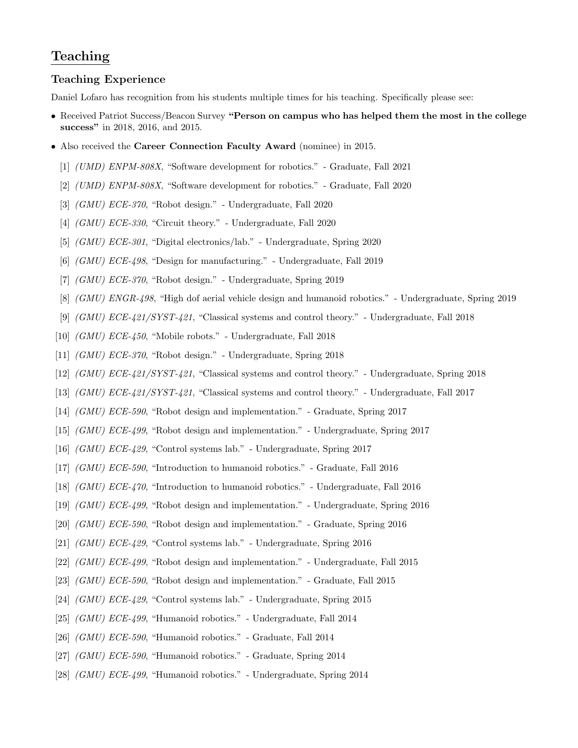## Teaching

#### Teaching Experience

Daniel Lofaro has recognition from his students multiple times for his teaching. Specifically please see:

- Received Patriot Success/Beacon Survey "Person on campus who has helped them the most in the college success" in 2018, 2016, and 2015.
- Also received the Career Connection Faculty Award (nominee) in 2015.
	- [1] (UMD) ENPM-808X, "Software development for robotics." Graduate, Fall 2021
	- [2] (UMD) ENPM-808X, "Software development for robotics." Graduate, Fall 2020
	- [3] (GMU) ECE-370, "Robot design." Undergraduate, Fall 2020
	- [4] (GMU) ECE-330, "Circuit theory." Undergraduate, Fall 2020
	- [5] (GMU) ECE-301, "Digital electronics/lab." Undergraduate, Spring 2020
	- [6] (GMU) ECE-498, "Design for manufacturing." Undergraduate, Fall 2019
	- [7] (GMU) ECE-370, "Robot design." Undergraduate, Spring 2019
	- [8] (GMU) ENGR-498, "High dof aerial vehicle design and humanoid robotics." Undergraduate, Spring 2019
	- [9] (GMU) ECE-421/SYST-421, "Classical systems and control theory." Undergraduate, Fall 2018
- [10] (GMU) ECE-450, "Mobile robots." Undergraduate, Fall 2018
- [11] (GMU) ECE-370, "Robot design." Undergraduate, Spring 2018
- [12] (GMU) ECE-421/SYST-421, "Classical systems and control theory." Undergraduate, Spring 2018
- [13] (GMU) ECE-421/SYST-421, "Classical systems and control theory." Undergraduate, Fall 2017
- [14] (GMU) ECE-590, "Robot design and implementation." Graduate, Spring 2017
- [15] (GMU) ECE-499, "Robot design and implementation." Undergraduate, Spring 2017
- [16] (GMU) ECE-429, "Control systems lab." Undergraduate, Spring 2017
- [17] (GMU) ECE-590, "Introduction to humanoid robotics." Graduate, Fall 2016
- [18] (GMU) ECE-470, "Introduction to humanoid robotics." Undergraduate, Fall 2016
- [19] (GMU) ECE-499, "Robot design and implementation." Undergraduate, Spring 2016
- [20] (GMU) ECE-590, "Robot design and implementation." Graduate, Spring 2016
- [21] (GMU) ECE-429, "Control systems lab." Undergraduate, Spring 2016
- [22] (GMU) ECE-499, "Robot design and implementation." Undergraduate, Fall 2015
- [23] (GMU) ECE-590, "Robot design and implementation." Graduate, Fall 2015
- [24] (GMU) ECE-429, "Control systems lab." Undergraduate, Spring 2015
- [25] (GMU) ECE-499, "Humanoid robotics." Undergraduate, Fall 2014
- [26] (GMU) ECE-590, "Humanoid robotics." Graduate, Fall 2014
- [27] (GMU) ECE-590, "Humanoid robotics." Graduate, Spring 2014
- [28] (GMU) ECE-499, "Humanoid robotics." Undergraduate, Spring 2014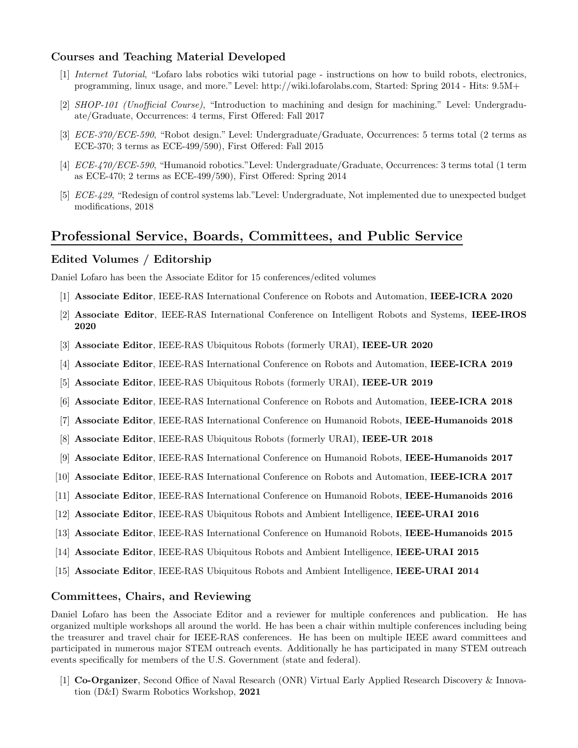#### Courses and Teaching Material Developed

- [1] Internet Tutorial, "Lofaro labs robotics wiki tutorial page instructions on how to build robots, electronics, programming, linux usage, and more." Level: http://wiki.lofarolabs.com, Started: Spring 2014 - Hits: 9.5M+
- [2] SHOP-101 (Unofficial Course), "Introduction to machining and design for machining." Level: Undergraduate/Graduate, Occurrences: 4 terms, First Offered: Fall 2017
- [3] ECE-370/ECE-590, "Robot design." Level: Undergraduate/Graduate, Occurrences: 5 terms total (2 terms as ECE-370; 3 terms as ECE-499/590), First Offered: Fall 2015
- [4] ECE-470/ECE-590, "Humanoid robotics."Level: Undergraduate/Graduate, Occurrences: 3 terms total (1 term as ECE-470; 2 terms as ECE-499/590), First Offered: Spring 2014
- [5] ECE-429, "Redesign of control systems lab."Level: Undergraduate, Not implemented due to unexpected budget modifications, 2018

## Professional Service, Boards, Committees, and Public Service

#### Edited Volumes / Editorship

Daniel Lofaro has been the Associate Editor for 15 conferences/edited volumes

- [1] Associate Editor, IEEE-RAS International Conference on Robots and Automation, IEEE-ICRA 2020
- [2] Associate Editor, IEEE-RAS International Conference on Intelligent Robots and Systems, IEEE-IROS 2020
- [3] Associate Editor, IEEE-RAS Ubiquitous Robots (formerly URAI), IEEE-UR 2020
- [4] Associate Editor, IEEE-RAS International Conference on Robots and Automation, IEEE-ICRA 2019
- [5] Associate Editor, IEEE-RAS Ubiquitous Robots (formerly URAI), IEEE-UR 2019
- [6] Associate Editor, IEEE-RAS International Conference on Robots and Automation, IEEE-ICRA 2018
- [7] Associate Editor, IEEE-RAS International Conference on Humanoid Robots, IEEE-Humanoids 2018
- [8] Associate Editor, IEEE-RAS Ubiquitous Robots (formerly URAI), IEEE-UR 2018
- [9] Associate Editor, IEEE-RAS International Conference on Humanoid Robots, IEEE-Humanoids 2017
- [10] Associate Editor, IEEE-RAS International Conference on Robots and Automation, IEEE-ICRA 2017
- [11] Associate Editor, IEEE-RAS International Conference on Humanoid Robots, IEEE-Humanoids 2016
- [12] Associate Editor, IEEE-RAS Ubiquitous Robots and Ambient Intelligence, IEEE-URAI 2016
- [13] Associate Editor, IEEE-RAS International Conference on Humanoid Robots, IEEE-Humanoids 2015
- [14] Associate Editor, IEEE-RAS Ubiquitous Robots and Ambient Intelligence, IEEE-URAI 2015
- [15] Associate Editor, IEEE-RAS Ubiquitous Robots and Ambient Intelligence, IEEE-URAI 2014

#### Committees, Chairs, and Reviewing

Daniel Lofaro has been the Associate Editor and a reviewer for multiple conferences and publication. He has organized multiple workshops all around the world. He has been a chair within multiple conferences including being the treasurer and travel chair for IEEE-RAS conferences. He has been on multiple IEEE award committees and participated in numerous major STEM outreach events. Additionally he has participated in many STEM outreach events specifically for members of the U.S. Government (state and federal).

[1] Co-Organizer, Second Office of Naval Research (ONR) Virtual Early Applied Research Discovery & Innovation (D&I) Swarm Robotics Workshop, 2021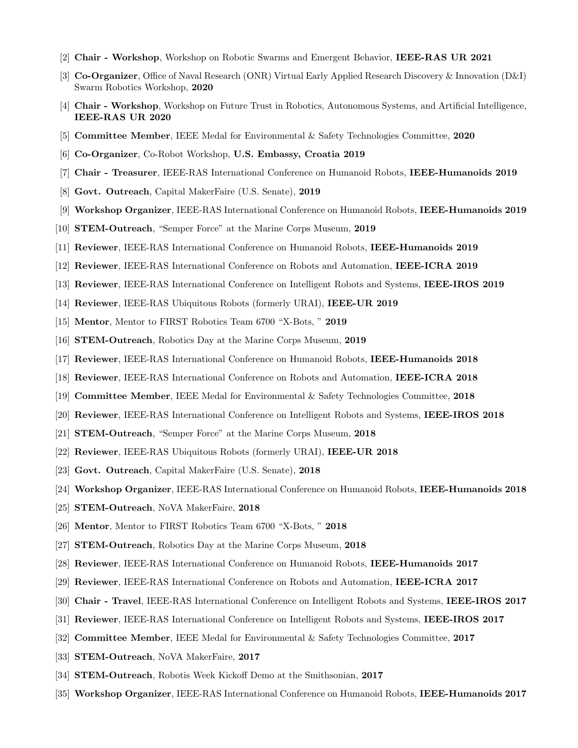- [2] Chair Workshop, Workshop on Robotic Swarms and Emergent Behavior, IEEE-RAS UR 2021
- [3] Co-Organizer, Office of Naval Research (ONR) Virtual Early Applied Research Discovery & Innovation (D&I) Swarm Robotics Workshop, 2020
- [4] Chair Workshop, Workshop on Future Trust in Robotics, Autonomous Systems, and Artificial Intelligence, IEEE-RAS UR 2020
- [5] Committee Member, IEEE Medal for Environmental & Safety Technologies Committee, 2020
- [6] Co-Organizer, Co-Robot Workshop, U.S. Embassy, Croatia 2019
- [7] Chair Treasurer, IEEE-RAS International Conference on Humanoid Robots, IEEE-Humanoids 2019
- [8] Govt. Outreach, Capital MakerFaire (U.S. Senate), 2019
- [9] Workshop Organizer, IEEE-RAS International Conference on Humanoid Robots, IEEE-Humanoids 2019
- [10] **STEM-Outreach**, "Semper Force" at the Marine Corps Museum, 2019
- [11] Reviewer, IEEE-RAS International Conference on Humanoid Robots, IEEE-Humanoids 2019
- [12] Reviewer, IEEE-RAS International Conference on Robots and Automation, IEEE-ICRA 2019
- [13] Reviewer, IEEE-RAS International Conference on Intelligent Robots and Systems, IEEE-IROS 2019
- [14] Reviewer, IEEE-RAS Ubiquitous Robots (formerly URAI), IEEE-UR 2019
- [15] Mentor, Mentor to FIRST Robotics Team 6700 "X-Bots, " 2019
- [16] STEM-Outreach, Robotics Day at the Marine Corps Museum, 2019
- [17] Reviewer, IEEE-RAS International Conference on Humanoid Robots, IEEE-Humanoids 2018
- [18] Reviewer, IEEE-RAS International Conference on Robots and Automation, IEEE-ICRA 2018
- [19] Committee Member, IEEE Medal for Environmental & Safety Technologies Committee, 2018
- [20] Reviewer, IEEE-RAS International Conference on Intelligent Robots and Systems, IEEE-IROS 2018
- [21] STEM-Outreach, "Semper Force" at the Marine Corps Museum, 2018
- [22] Reviewer, IEEE-RAS Ubiquitous Robots (formerly URAI), IEEE-UR 2018
- [23] Govt. Outreach, Capital MakerFaire (U.S. Senate), 2018
- [24] Workshop Organizer, IEEE-RAS International Conference on Humanoid Robots, IEEE-Humanoids 2018
- [25] STEM-Outreach, NoVA MakerFaire, 2018
- [26] Mentor, Mentor to FIRST Robotics Team 6700 "X-Bots, " 2018
- [27] STEM-Outreach, Robotics Day at the Marine Corps Museum, 2018
- [28] Reviewer, IEEE-RAS International Conference on Humanoid Robots, IEEE-Humanoids 2017
- [29] Reviewer, IEEE-RAS International Conference on Robots and Automation, IEEE-ICRA 2017
- [30] Chair Travel, IEEE-RAS International Conference on Intelligent Robots and Systems, IEEE-IROS 2017
- [31] Reviewer, IEEE-RAS International Conference on Intelligent Robots and Systems, IEEE-IROS 2017
- [32] Committee Member, IEEE Medal for Environmental & Safety Technologies Committee, 2017
- [33] STEM-Outreach, NoVA MakerFaire, 2017
- [34] STEM-Outreach, Robotis Week Kickoff Demo at the Smithsonian, 2017
- [35] Workshop Organizer, IEEE-RAS International Conference on Humanoid Robots, IEEE-Humanoids 2017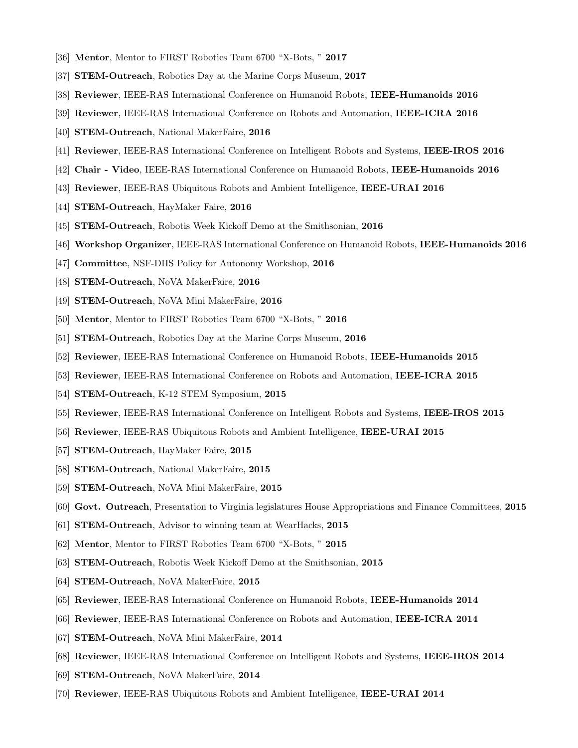- [36] Mentor, Mentor to FIRST Robotics Team 6700 "X-Bots, " 2017
- [37] STEM-Outreach, Robotics Day at the Marine Corps Museum, 2017
- [38] Reviewer, IEEE-RAS International Conference on Humanoid Robots, IEEE-Humanoids 2016
- [39] Reviewer, IEEE-RAS International Conference on Robots and Automation, IEEE-ICRA 2016
- [40] STEM-Outreach, National MakerFaire, 2016
- [41] Reviewer, IEEE-RAS International Conference on Intelligent Robots and Systems, IEEE-IROS 2016
- [42] Chair Video, IEEE-RAS International Conference on Humanoid Robots, IEEE-Humanoids 2016
- [43] Reviewer, IEEE-RAS Ubiquitous Robots and Ambient Intelligence, IEEE-URAI 2016
- [44] STEM-Outreach, HayMaker Faire, 2016
- [45] STEM-Outreach, Robotis Week Kickoff Demo at the Smithsonian, 2016
- [46] Workshop Organizer, IEEE-RAS International Conference on Humanoid Robots, IEEE-Humanoids 2016
- [47] Committee, NSF-DHS Policy for Autonomy Workshop, 2016
- [48] STEM-Outreach, NoVA MakerFaire, 2016
- [49] STEM-Outreach, NoVA Mini MakerFaire, 2016
- [50] Mentor, Mentor to FIRST Robotics Team 6700 "X-Bots, " 2016
- [51] STEM-Outreach, Robotics Day at the Marine Corps Museum, 2016
- [52] Reviewer, IEEE-RAS International Conference on Humanoid Robots, IEEE-Humanoids 2015
- [53] Reviewer, IEEE-RAS International Conference on Robots and Automation, IEEE-ICRA 2015
- [54] STEM-Outreach, K-12 STEM Symposium, 2015
- [55] Reviewer, IEEE-RAS International Conference on Intelligent Robots and Systems, IEEE-IROS 2015
- [56] Reviewer, IEEE-RAS Ubiquitous Robots and Ambient Intelligence, IEEE-URAI 2015
- [57] STEM-Outreach, HayMaker Faire, 2015
- [58] STEM-Outreach, National MakerFaire, 2015
- [59] STEM-Outreach, NoVA Mini MakerFaire, 2015
- [60] Govt. Outreach, Presentation to Virginia legislatures House Appropriations and Finance Committees, 2015
- [61] STEM-Outreach, Advisor to winning team at WearHacks, 2015
- [62] Mentor, Mentor to FIRST Robotics Team 6700 "X-Bots, " 2015
- [63] STEM-Outreach, Robotis Week Kickoff Demo at the Smithsonian, 2015
- [64] STEM-Outreach, NoVA MakerFaire, 2015
- [65] Reviewer, IEEE-RAS International Conference on Humanoid Robots, IEEE-Humanoids 2014
- [66] Reviewer, IEEE-RAS International Conference on Robots and Automation, IEEE-ICRA 2014
- [67] STEM-Outreach, NoVA Mini MakerFaire, 2014
- [68] Reviewer, IEEE-RAS International Conference on Intelligent Robots and Systems, IEEE-IROS 2014
- [69] STEM-Outreach, NoVA MakerFaire, 2014
- [70] Reviewer, IEEE-RAS Ubiquitous Robots and Ambient Intelligence, IEEE-URAI 2014